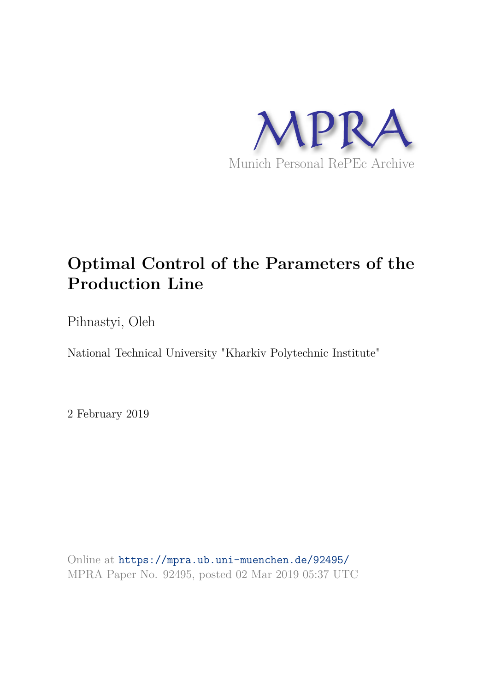

# **Optimal Control of the Parameters of the Production Line**

Pihnastyi, Oleh

National Technical University "Kharkiv Polytechnic Institute"

2 February 2019

Online at https://mpra.ub.uni-muenchen.de/92495/ MPRA Paper No. 92495, posted 02 Mar 2019 05:37 UTC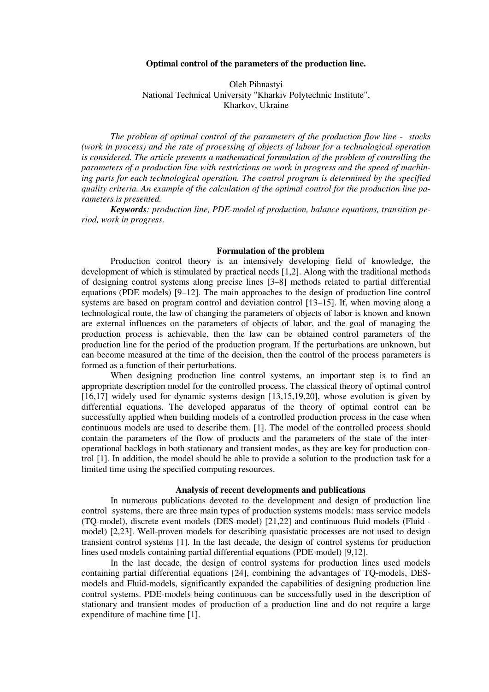# **Optimal control of the parameters of the production line.**

 Oleh Pihnastyi National Technical University "Kharkiv Polytechnic Institute", Kharkov, Ukraine

*The problem of optimal control of the parameters of the production flow line - stocks (work in process) and the rate of processing of objects of labour for a technological operation is considered. The article presents a mathematical formulation of the problem of controlling the parameters of a production line with restrictions on work in progress and the speed of machining parts for each technological operation. The control program is determined by the specified quality criteria. An example of the calculation of the optimal control for the production line parameters is presented.* 

*Keywords: production line, PDE-model of production, balance equations, transition period, work in progress.* 

#### **Formulation of the problem**

Production control theory is an intensively developing field of knowledge, the development of which is stimulated by practical needs [1,2]. Along with the traditional methods of designing control systems along precise lines [3–8] methods related to partial differential equations (PDE models) [9–12]. The main approaches to the design of production line control systems are based on program control and deviation control [13–15]. If, when moving along a technological route, the law of changing the parameters of objects of labor is known and known are external influences on the parameters of objects of labor, and the goal of managing the production process is achievable, then the law can be obtained control parameters of the production line for the period of the production program. If the perturbations are unknown, but can become measured at the time of the decision, then the control of the process parameters is formed as a function of their perturbations.

When designing production line control systems, an important step is to find an appropriate description model for the controlled process. The classical theory of optimal control [16,17] widely used for dynamic systems design [13,15,19,20], whose evolution is given by differential equations. The developed apparatus of the theory of optimal control can be successfully applied when building models of a controlled production process in the case when continuous models are used to describe them. [1]. The model of the controlled process should contain the parameters of the flow of products and the parameters of the state of the interoperational backlogs in both stationary and transient modes, as they are key for production control [1]. In addition, the model should be able to provide a solution to the production task for a limited time using the specified computing resources.

### **Analysis of recent developments and publications**

In numerous publications devoted to the development and design of production line control systems, there are three main types of production systems models: mass service models (TQ-model), discrete event models (DES-model) [21,22] and continuous fluid models (Fluid model) [2,23]. Well-proven models for describing quasistatic processes are not used to design transient control systems [1]. In the last decade, the design of control systems for production lines used models containing partial differential equations (PDE-model) [9,12].

In the last decade, the design of control systems for production lines used models containing partial differential equations [24], combining the advantages of TQ-models, DESmodels and Fluid-models, significantly expanded the capabilities of designing production line control systems. PDE-models being continuous can be successfully used in the description of stationary and transient modes of production of a production line and do not require a large expenditure of machine time [1].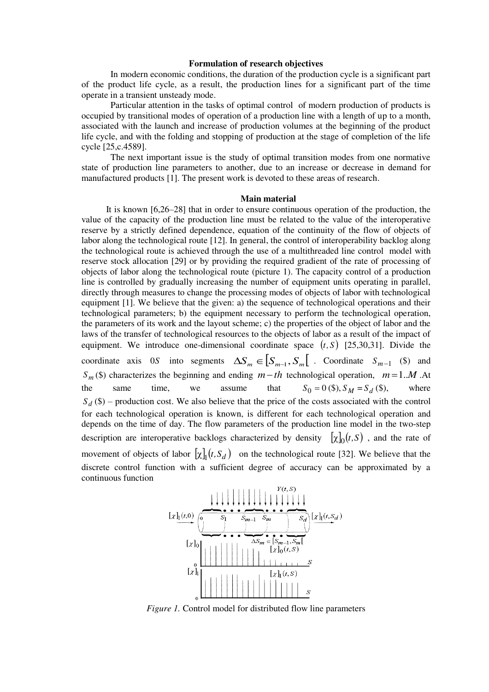# **Formulation of research objectives**

In modern economic conditions, the duration of the production cycle is a significant part of the product life cycle, as a result, the production lines for a significant part of the time operate in a transient unsteady mode.

Particular attention in the tasks of optimal control of modern production of products is occupied by transitional modes of operation of a production line with a length of up to a month, associated with the launch and increase of production volumes at the beginning of the product life cycle, and with the folding and stopping of production at the stage of completion of the life cycle [25,c.4589].

The next important issue is the study of optimal transition modes from one normative state of production line parameters to another, due to an increase or decrease in demand for manufactured products [1]. The present work is devoted to these areas of research.

#### **Main material**

It is known [6,26–28] that in order to ensure continuous operation of the production, the value of the capacity of the production line must be related to the value of the interoperative reserve by a strictly defined dependence, equation of the continuity of the flow of objects of labor along the technological route [12]. In general, the control of interoperability backlog along the technological route is achieved through the use of a multithreaded line control model with reserve stock allocation [29] or by providing the required gradient of the rate of processing of objects of labor along the technological route (picture 1). The capacity control of a production line is controlled by gradually increasing the number of equipment units operating in parallel, directly through measures to change the processing modes of objects of labor with technological equipment [1]. We believe that the given: a) the sequence of technological operations and their technological parameters; b) the equipment necessary to perform the technological operation, the parameters of its work and the layout scheme; c) the properties of the object of labor and the laws of the transfer of technological resources to the objects of labor as a result of the impact of equipment. We introduce one-dimensional coordinate space  $(t, S)$  [25,30,31]. Divide the coordinate axis 0*S* into segments  $\Delta S_m \in [S_{m-1}, S_m]$ . Coordinate  $S_{m-1}$  (\$) and *S*<sup>*m*</sup> (\$) characterizes the beginning and ending *m*−*th* technological operation, *m* = 1.*M* .At the same time, we assume that  $S_0 = 0$  (\$),  $S_M = S_d$  (\$), where  $S_d$  (\$) – production cost. We also believe that the price of the costs associated with the control for each technological operation is known, is different for each technological operation and depends on the time of day. The flow parameters of the production line model in the two-step description are interoperative backlogs characterized by density  $[\chi]_0(t, S)$ , and the rate of movement of objects of labor  $[\chi]_1(t, S_d)$  on the technological route [32]. We believe that the discrete control function with a sufficient degree of accuracy can be approximated by a continuous function



*Figure 1.* Control model for distributed flow line parameters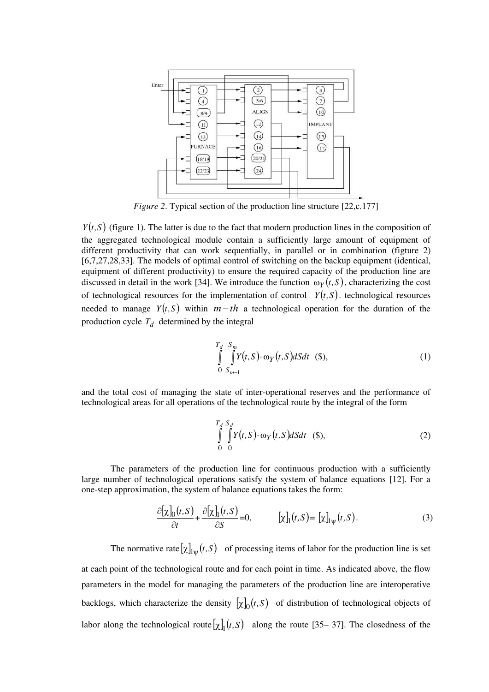

*Figure 2.* Typical section of the production line structure [22,c.177]

 $Y(t, S)$  (figure 1). The latter is due to the fact that modern production lines in the composition of the aggregated technological module contain a sufficiently large amount of equipment of different productivity that can work sequentially, in parallel or in combination (figture 2) [6,7,27,28,33]. The models of optimal control of switching on the backup equipment (identical, equipment of different productivity) to ensure the required capacity of the production line are discussed in detail in the work [34]. We introduce the function  $\omega_Y(t, S)$ , characterizing the cost of technological resources for the implementation of control  $Y(t, S)$ , technological resources needed to manage  $Y(t, S)$  within  $m-th$  a technological operation for the duration of the production cycle  $T_d$  determined by the integral

$$
\int_{0}^{T_d} \int_{S_{m-1}}^{S_m} Y(t, S) \cdot \omega_Y(t, S) dS dt \quad (\$),
$$
\n(1)

and the total cost of managing the state of inter-operational reserves and the performance of technological areas for all operations of the technological route by the integral of the form

$$
\int_{0}^{T_d} \int_{0}^{S_d} Y(t, S) \cdot \omega_Y(t, S) dS dt \quad (\$), \tag{2}
$$

The parameters of the production line for continuous production with a sufficiently large number of technological operations satisfy the system of balance equations [12]. For a one-step approximation, the system of balance equations takes the form:

$$
\frac{\partial[\chi]_0(t,S)}{\partial t} + \frac{\partial[\chi]_1(t,S)}{\partial S} = 0, \qquad [\chi]_1(t,S) = [\chi]_{1\psi}(t,S). \tag{3}
$$

The normative rate  $[\chi]_{\text{I}\psi}(t, S)$  of processing items of labor for the production line is set at each point of the technological route and for each point in time. As indicated above, the flow parameters in the model for managing the parameters of the production line are interoperative backlogs, which characterize the density  $[\chi]_0(t, S)$  of distribution of technological objects of labor along the technological route  $[\chi]_1(t, S)$  along the route [35–37]. The closedness of the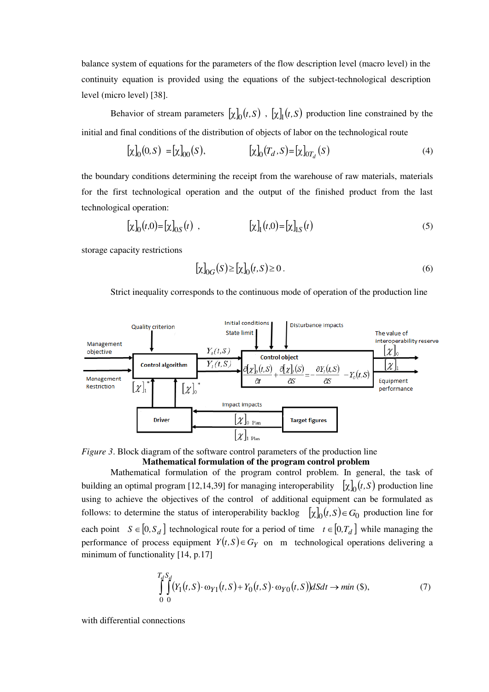balance system of equations for the parameters of the flow description level (macro level) in the continuity equation is provided using the equations of the subject-technological description level (micro level) [38].

Behavior of stream parameters  $[\chi]_0(t, S)$ ,  $[\chi]_1(t, S)$  production line constrained by the initial and final conditions of the distribution of objects of labor on the technological route

$$
[\chi]_0(0, S) = [\chi]_{00}(S), \qquad [\chi]_0(T_d, S) = [\chi]_{0T_d}(S) \tag{4}
$$

the boundary conditions determining the receipt from the warehouse of raw materials, materials for the first technological operation and the output of the finished product from the last technological operation:

$$
[\chi]_0(t,0) = [\chi]_{0S}(t) , \qquad [\chi]_1(t,0) = [\chi]_{1S}(t) \qquad (5)
$$

storage capacity restrictions

$$
[\chi]_{0G}(S) \ge [\chi]_0(t, S) \ge 0.
$$
\n<sup>(6)</sup>

Strict inequality corresponds to the continuous mode of operation of the production line



*Figure* 3. Block diagram of the software control parameters of the production line **Mathematical formulation of the program control problem** 

Mathematical formulation of the program control problem. In general, the task of building an optimal program [12,14,39] for managing interoperability  $[\chi]_0(t, S)$  production line using to achieve the objectives of the control of additional equipment can be formulated as follows: to determine the status of interoperability backlog  $[\chi]_0(t, S) \in G_0$  production line for each point  $S \in [0, S_d]$  technological route for a period of time  $t \in [0, T_d]$  while managing the performance of process equipment  $Y(t, S) \in G_Y$  on m technological operations delivering a minimum of functionality [14, p.17]

$$
\int_{0}^{T_d S_d} \int_{0}^{S_d} (Y_1(t, S) \cdot \omega_{Y1}(t, S) + Y_0(t, S) \cdot \omega_{Y0}(t, S)) dS dt \to \min(\$),
$$
\n(7)

with differential connections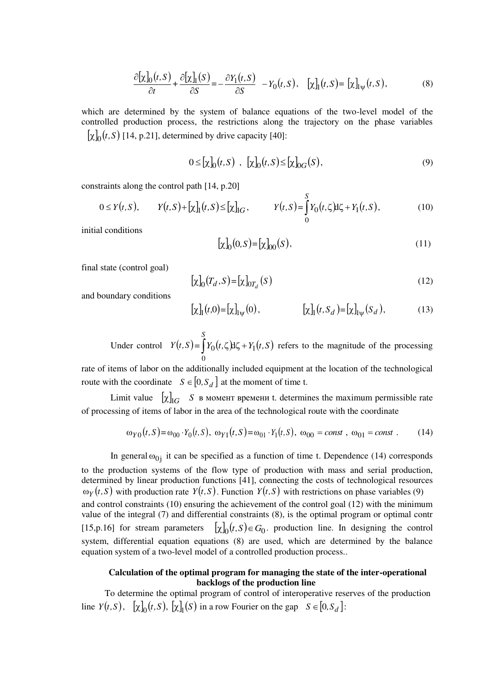$$
\frac{\partial[\chi]_0(t,S)}{\partial t} + \frac{\partial[\chi]_1(S)}{\partial S} = -\frac{\partial Y_1(t,S)}{\partial S} - Y_0(t,S), \quad [\chi]_1(t,S) = [\chi]_{\text{I}\psi}(t,S),\tag{8}
$$

which are determined by the system of balance equations of the two-level model of the controlled production process, the restrictions along the trajectory on the phase variables  $[\chi]_0(t, S)$  [14, p.21], determined by drive capacity [40]:

$$
0 \leq [\chi]_0(t, S) , [\chi]_0(t, S) \leq [\chi]_{0G}(S), \tag{9}
$$

constraints along the control path [14, p.20]

$$
0 \le Y(t, S), \qquad Y(t, S) + [\chi]_1(t, S) \le [\chi]_{IG}, \qquad Y(t, S) = \int_0^S Y_0(t, \zeta) d\zeta + Y_1(t, S), \tag{10}
$$

initial conditions

$$
[\chi]_0(0,S) = [\chi]_{00}(S),\tag{11}
$$

final state (control goal)

$$
[\chi]_0(T_d, S) = [\chi]_{0T_d}(S) \tag{12}
$$

and boundary conditions

$$
[\chi]_1(t,0) = [\chi]_{\text{1}\psi}(0), \qquad [\chi]_1(t,S_d) = [\chi]_{\text{1}\psi}(S_d), \qquad (13)
$$

Under control  $Y(t, S) = \int Y_0(t, \zeta) d\zeta + Y_1(t, S)$ *S* 1  $\mathbf{0}$  $\int Y_0(t,\zeta) d\zeta + Y_1(t,S)$  refers to the magnitude of the processing

rate of items of labor on the additionally included equipment at the location of the technological route with the coordinate  $S \in [0, S_d]$  at the moment of time t.

Limit value  $\left[\chi\right]_{IG}$  *S* в момент времени t. determines the maximum permissible rate of processing of items of labor in the area of the technological route with the coordinate

$$
\omega_{Y0}(t,S) = \omega_{00} \cdot Y_0(t,S), \ \omega_{Y1}(t,S) = \omega_{01} \cdot Y_1(t,S), \ \omega_{00} = const \ , \ \omega_{01} = const \ . \tag{14}
$$

In general  $\omega_{0j}$  it can be specified as a function of time t. Dependence (14) corresponds to the production systems of the flow type of production with mass and serial production, determined by linear production functions [41], connecting the costs of technological resources  $\omega_Y(t, S)$  with production rate  $Y(t, S)$ . Function  $Y(t, S)$  with restrictions on phase variables (9) and control constraints (10) ensuring the achievement of the control goal (12) with the minimum value of the integral (7) and differential constraints (8), is the optimal program or optimal contr [15,p.16] for stream parameters  $[\chi]_0(t, S) \in G_0$ . production line. In designing the control system, differential equation equations (8) are used, which are determined by the balance equation system of a two-level model of a controlled production process..

# **Calculation of the optimal program for managing the state of the inter-operational backlogs of the production line**

To determine the optimal program of control of interoperative reserves of the production line  $Y(t, S)$ ,  $[\chi]_0(t, S)$ ,  $[\chi]_1(S)$  in a row Fourier on the gap  $S \in [0, S_d]$ :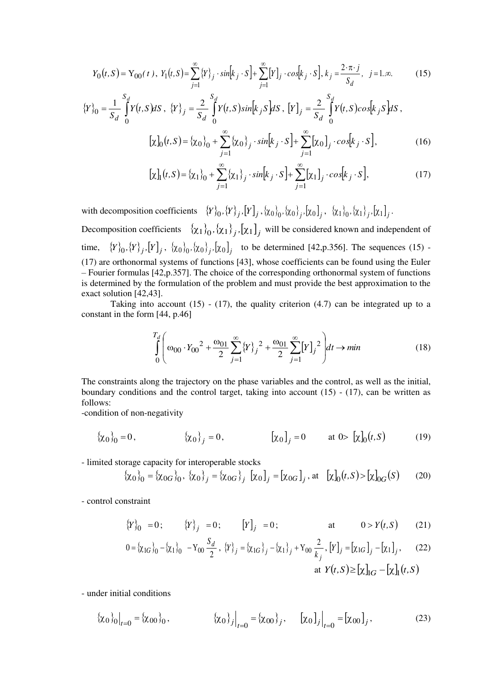$$
Y_0(t, S) = Y_{00}(t), \ Y_1(t, S) = \sum_{j=1}^{\infty} \{Y\}_j \cdot \sin[k_j \cdot S] + \sum_{j=1}^{\infty} [Y]_j \cdot \cos[k_j \cdot S], \ k_j = \frac{2 \cdot \pi \cdot j}{S_d}, \ j = 1, \infty.
$$
 (15)

$$
\{Y\}_0 = \frac{1}{S_d} \int_0^{S_d} Y(t, S) dS, \{Y\}_j = \frac{2}{S_d} \int_0^{S_d} Y(t, S) sin[k_j S] dS, [Y]_j = \frac{2}{S_d} \int_0^{S_d} Y(t, S) cos[k_j S] dS,
$$
  

$$
[\chi]_0(t, S) = {\chi_0}_0 + \sum_{j=1}^{\infty} {\chi_0}_j \cdot sin[k_j \cdot S] + \sum_{j=1}^{\infty} [\chi_0]_j \cdot cos[k_j \cdot S],
$$
 (16)

$$
[\chi]_1(t, S) = {\chi_1}_0 + \sum_{j=1}^{\infty} {\chi_1}_j \cdot \sin[k_j \cdot S] + \sum_{j=1}^{\infty} [\chi_1]_j \cdot \cos[k_j \cdot S],
$$
 (17)

with decomposition coefficients  $\{Y\}_0, \{Y\}_j, [Y]_j, \{x_0\}_0, \{x_0\}_j, [x_0]_j, \{x_1\}_0, \{x_1\}_j, [x_1]_j.$ 

Decomposition coefficients  $\{\chi_1\}_0$ ,  $\{\chi_1\}_j$ ,  $[\chi_1]_j$  will be considered known and independent of time,  $\{Y\}_0, \{Y\}_j, [Y]_j, \{X_0\}_0, \{X_0\}_j, [X_0]_j$  to be determined [42,p.356]. The sequences (15) -(17) are orthonormal systems of functions [43], whose coefficients can be found using the Euler – Fourier formulas [42,p.357]. The choice of the corresponding orthonormal system of functions is determined by the formulation of the problem and must provide the best approximation to the exact solution [42,43].

Taking into account  $(15)$  -  $(17)$ , the quality criterion  $(4.7)$  can be integrated up to a constant in the form [44, p.46]

$$
\int_{0}^{T_d} \left( \omega_{00} \cdot Y_{00}^2 + \frac{\omega_{01}}{2} \sum_{j=1}^{\infty} \{Y\}_j^2 + \frac{\omega_{01}}{2} \sum_{j=1}^{\infty} [Y]_j^2 \right) dt \to \min
$$
 (18)

The constraints along the trajectory on the phase variables and the control, as well as the initial, boundary conditions and the control target, taking into account (15) - (17), can be written as follows:

-condition of non-negativity

$$
\{\chi_0\}_0 = 0, \qquad \{\chi_0\}_j = 0, \qquad [\chi_0]_j = 0 \qquad \text{at } 0 > [\chi]_0(t, S) \qquad (19)
$$

- limited storage capacity for interoperable stocks

$$
\{\chi_0\}_0 = \{\chi_{0G}\}_0, \ \{\chi_0\}_j = \{\chi_{0G}\}_j \ [\chi_0]_j = [\chi_{0G}]_j, \ \text{at} \ [\chi]_0(t, S) > [\chi]_{0G}(S) \tag{20}
$$

- control constraint

$$
\{Y\}_0 = 0; \qquad \{Y\}_j = 0; \qquad [Y]_j = 0; \qquad \text{at} \qquad 0 > Y(t, S) \qquad (21)
$$

$$
0 = {\chi_{1G}}_0 - {\chi_1}_{0} - Y_{00} \frac{S_d}{2}, \{Y\}_j = {\chi_{1G}}_j - {\chi_1}_{j} + Y_{00} \frac{2}{k_j}, [Y]_j = [\chi_{1G}]_j - [\chi_1]_j, \qquad (22)
$$
  
at  $Y(t, S) \ge [\chi]_{1G} - [\chi]_{1}(t, S)$ 

- under initial conditions

$$
\{\chi_0\}_0\big|_{t=0} = \{\chi_{00}\}_0, \qquad \{\chi_0\}_j\big|_{t=0} = \{\chi_{00}\}_j, \qquad [\chi_0]_j\big|_{t=0} = [\chi_{00}]_j, \qquad (23)
$$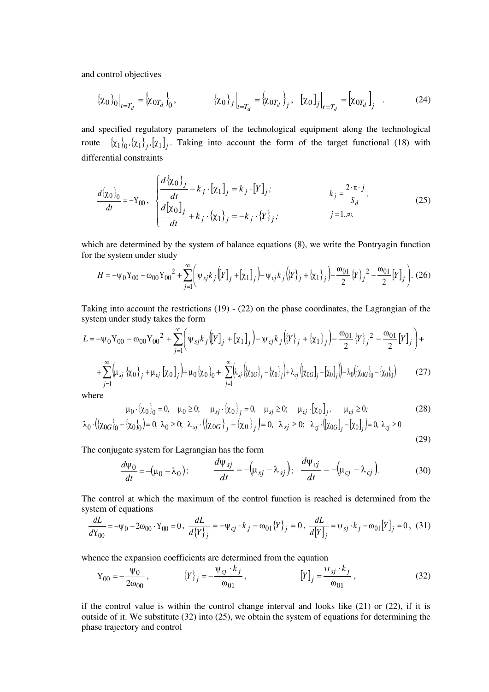and control objectives

$$
\{\chi_0\}_0\big|_{t=T_d} = \{\chi_{0T_d}\}_0, \qquad \{\chi_0\}_j\big|_{t=T_d} = \{\chi_{0T_d}\}_j, \quad [\chi_0]_j\big|_{t=T_d} = [\chi_{0T_d}\]_j \quad . \tag{24}
$$

and specified regulatory parameters of the technological equipment along the technological route  $\{\chi_1\}_0, \{\chi_1\}_j, [\chi_1]_j$ . Taking into account the form of the target functional (18) with differential constraints

$$
\frac{d\{\chi_0\}_0}{dt} = -Y_{00}, \quad \begin{cases} \frac{d\{\chi_0\}_j}{dt} - k_j \cdot [\chi_1]_j = k_j \cdot [Y]_j; & k_j = \frac{2 \cdot \pi \cdot j}{S_d}, \\ \frac{d[\chi_0]_j}{dt} + k_j \cdot \{\chi_1\}_j = -k_j \cdot \{Y\}_j; & j = 1, \infty. \end{cases}
$$
(25)

which are determined by the system of balance equations (8), we write the Pontryagin function for the system under study

$$
H = -\psi_0 Y_{00} - \omega_{00} Y_{00}^2 + \sum_{j=1}^{\infty} \left( \psi_{sj} k_j \left( [Y]_j + [\chi_1]_j \right) - \psi_{cj} k_j \left( \{ Y \}_j + \{\chi_1\}_j \right) - \frac{\omega_{01}}{2} \{ Y \}_j^2 - \frac{\omega_{01}}{2} [Y]_j \right). (26)
$$

Taking into account the restrictions (19) - (22) on the phase coordinates, the Lagrangian of the system under study takes the form

$$
L = -\psi_0 Y_{00} - \omega_{00} Y_{00}^2 + \sum_{j=1}^{\infty} \left( \psi_{sj} k_j \left( [Y]_j + [\chi_1]_j \right) - \psi_{cj} k_j \left( \{ Y \}_j + \{\chi_1\}_j \right) - \frac{\omega_{01}}{2} \{ Y \}_j^2 - \frac{\omega_{01}}{2} [Y]_j \right) +
$$

$$
+\sum_{j=1}^{\infty} \left(\mu_{sj} \left\{ \chi_0 \right\}_j + \mu_{cj} \left[ \chi_0 \right]_j \right) + \mu_0 \left\{ \chi_0 \right\}_0 + \sum_{j=1}^{\infty} \left(\lambda_{sj} \left( \left\{ \chi_{0G} \right\}_j - \left\{ \chi_0 \right\}_j \right) + \lambda_{cj} \left( \left[ \chi_{0G} \right]_j - \left[ \chi_0 \right]_j \right) + \lambda_0 \left( \left\{ \chi_{0G} \right\}_0 - \left\{ \chi_0 \right\}_0 \right) \tag{27}
$$

where

$$
\mu_0 \cdot \{\chi_0\}_0 = 0, \quad \mu_0 \ge 0; \quad \mu_{sj} \cdot \{\chi_0\}_j = 0, \quad \mu_{sj} \ge 0; \quad \mu_{cj} \cdot \left[\chi_0\right]_j, \quad \mu_{cj} \ge 0; \n\lambda_0 \cdot \left(\{\chi_{0G}\}_0 - \{\chi_0\}_0\right) = 0, \lambda_0 \ge 0; \lambda_{sj} \cdot \left(\{\chi_{0G}\}_j - \{\chi_0\}_j\right) = 0, \lambda_{sj} \ge 0; \lambda_{cj} \cdot \left[\{\chi_{0G}\}_j - \left[\chi_0\right]_j\right] = 0, \lambda_{cj} \ge 0
$$
\n(28)

The conjugate system for Lagrangian has the form

$$
\frac{d\psi_0}{dt} = -(\mu_0 - \lambda_0); \qquad \frac{d\psi_{sj}}{dt} = -(\mu_{sj} - \lambda_{sj}); \quad \frac{d\psi_{cj}}{dt} = -(\mu_{cj} - \lambda_{cj}). \tag{30}
$$

(29)

The control at which the maximum of the control function is reached is determined from the system of equations

$$
\frac{dL}{dY_{00}} = -\psi_0 - 2\omega_{00} \cdot Y_{00} = 0, \quad \frac{dL}{d\{Y\}_j} = -\psi_{cj} \cdot k_j - \omega_{01} \{Y\}_j = 0, \quad \frac{dL}{d[Y]_j} = \psi_{sj} \cdot k_j - \omega_{01} [Y]_j = 0, \tag{31}
$$

whence the expansion coefficients are determined from the equation

$$
Y_{00} = -\frac{\Psi_0}{2\omega_{00}}, \qquad \{Y\}_j = -\frac{\Psi_{cj} \cdot k_j}{\omega_{01}}, \qquad [Y]_j = \frac{\Psi_{sj} \cdot k_j}{\omega_{01}}, \qquad (32)
$$

if the control value is within the control change interval and looks like (21) or (22), if it is outside of it. We substitute (32) into (25), we obtain the system of equations for determining the phase trajectory and control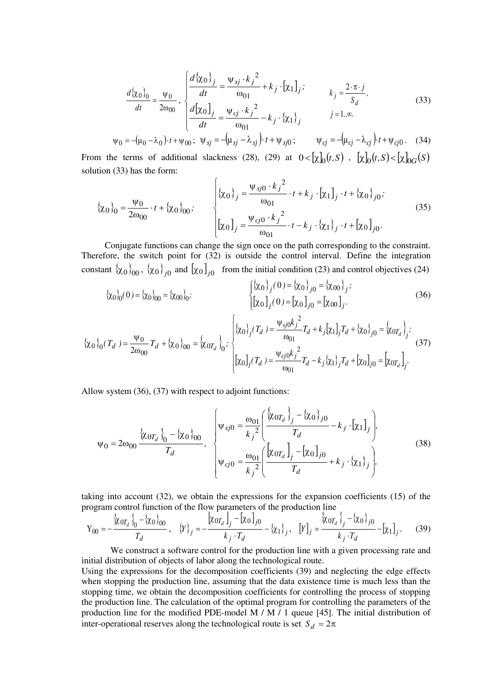$$
\frac{d\{\chi_0\}_0}{dt} = \frac{\psi_0}{2\omega_{00}}, \begin{cases} \frac{d\{\chi_0\}_j}{dt} = \frac{\psi_{sj} \cdot k_j^2}{\omega_{01}} + k_j \cdot [\chi_1]_j; & k_j = \frac{2 \cdot \pi \cdot j}{S_d}, \\ \frac{d[\chi_0]_j}{dt} = \frac{\psi_{cj} \cdot k_j^2}{\omega_{01}} - k_j \cdot \{\chi_1\}_j & j = 1 \ldots \infty. \end{cases}
$$
(33)

$$
\Psi_0 = -(\mu_0 - \lambda_0) \cdot t + \Psi_{00}; \quad \Psi_{sj} = -(\mu_{sj} - \lambda_{sj}) \cdot t + \Psi_{sj0}; \qquad \Psi_{cj} = -(\mu_{cj} - \lambda_{cj}) \cdot t + \Psi_{cj0}. \tag{34}
$$

From the terms of additional slackness (28), (29) at  $0 < [\chi]_0(t, S)$ ,  $[\chi]_0(t, S) < [\chi]_{0G}(S)$ solution (33) has the form:

$$
\{\chi_0\}_0 = \frac{\Psi_0}{2\omega_{00}} \cdot t + \{\chi_0\}_0; \qquad \begin{cases} \{\chi_0\}_j = \frac{\Psi_{sj0} \cdot k_j^2}{\omega_{01}} \cdot t + k_j \cdot [\chi_1]_j \cdot t + \{\chi_0\}_j, \\ [\chi_0]_j = \frac{\Psi_{cj0} \cdot k_j^2}{\omega_{01}} \cdot t - k_j \cdot \{\chi_1\}_j \cdot t + [\chi_0]_{j0}. \end{cases}
$$
(35)

Conjugate functions can change the sign once on the path corresponding to the constraint. Therefore, the switch point for (32) is outside the control interval. Define the integration constant  $\{\chi_0\}_{0}$ ,  $\{\chi_0\}_{j0}$  and  $[\chi_0]_{j0}$  from the initial condition (23) and control objectives (24)

$$
\{\chi_0\}_0(0) = \{\chi_0\}_0 = \{\chi_{00}\}_0; \qquad \qquad \begin{cases} \{\chi_0\}_j(0) = \{\chi_0\}_j = \{\chi_{00}\}_j; \\ [\chi_0]_j(0) = [\chi_0]_{j0} = [\chi_{00}]_j. \end{cases}
$$
(36)

$$
\{\chi_0\}_0(T_d) = \frac{\Psi_0}{2\omega_{00}} T_d + \{\chi_0\}_{00} = \left\{\chi_{0T_d}\right\}_0; \begin{cases} \{\chi_0\}_j(T_d) = \frac{\Psi_{sj0}k_j^2}{\omega_{01}} T_d + k_j[\chi_1]_j T_d + \{\chi_0\}_{j0} = \left\{\chi_{0T_d}\right\}_j; \\ [\chi_0]_j(T_d) = \frac{\Psi_{cj0}k_j^2}{\omega_{01}} T_d - k_j\{\chi_1\}_j T_d + [\chi_0]_{j0} = \left[\chi_{0T_d}\right]_j. \end{cases}
$$
(37)

Allow system (36), (37) with respect to adjoint functions:

$$
\psi_0 = 2\omega_{00} \frac{\left\{\chi_{0T_d}\right\}_0 - \left\{\chi_0\right\}_{00}}{T_d}, \quad \begin{cases} \psi_{sj0} = \frac{\omega_{01}}{k_j^2} \left( \frac{\left\{\chi_{0T_d}\right\}_j - \left\{\chi_0\right\}_{j0}}{T_d} - k_j \cdot \left[\chi_1\right]_j \right), \\ \psi_{cj0} = \frac{\omega_{01}}{k_j^2} \left( \frac{\left[\chi_{0T_d}\right]_j - \left[\chi_0\right]_{j0}}{T_d} + k_j \cdot \left\{\chi_1\right\}_j \right), \end{cases} \tag{38}
$$

taking into account (32), we obtain the expressions for the expansion coefficients (15) of the

program control function of the flow parameters of the production line  
\n
$$
Y_{00} = -\frac{\left\{\chi_{0T_d}\right\}_0 - \left\{\chi_{0}\right\}_{00}}{T_d}, \quad \left\{Y\right\}_j = -\frac{\left[\chi_{0T_d}\right]_j - \left[\chi_{0}\right]_{j0}}{k_j \cdot T_d} - \left\{\chi_{1}\right\}_j, \quad \left[Y\right]_j = \frac{\left\{\chi_{0T_d}\right\}_j - \left\{\chi_{0}\right\}_{j0}}{k_j \cdot T_d} - \left[\chi_{1}\right]_j. \tag{39}
$$

We construct a software control for the production line with a given processing rate and initial distribution of objects of labor along the technological route.

Using the expressions for the decomposition coefficients (39) and neglecting the edge effects when stopping the production line, assuming that the data existence time is much less than the stopping time, we obtain the decomposition coefficients for controlling the process of stopping the production line. The calculation of the optimal program for controlling the parameters of the production line for the modified PDE-model M / M / 1 queue [45]. The initial distribution of inter-operational reserves along the technological route is set  $S_d = 2\pi$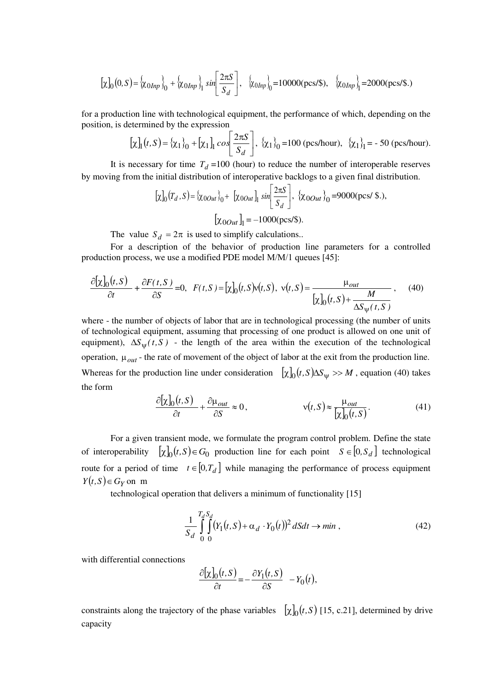$$
\left[\chi\right]_0(0,S) = \left\{\chi_{0Inp}\right\}_0 + \left\{\chi_{0Inp}\right\}_1 \sin\left[\frac{2\pi S}{S_d}\right], \quad \left\{\chi_{0Inp}\right\}_0 = 10000(\text{pcs/s}), \quad \left\{\chi_{0Inp}\right\}_1 = 2000(\text{pcs/s.})
$$

for a production line with technological equipment, the performance of which, depending on the position, is determined by the expression

$$
\left[\chi\right]_1(t, S) = \left\{\chi_1\right\}_0 + \left[\chi_1\right]_1 \cos\left(\frac{2\pi S}{S_d}\right), \ \left\{\chi_1\right\}_0 = 100 \text{ (pes/hour)}, \ \left\{\chi_1\right\}_1 = -50 \text{ (pes/hour)}.
$$

It is necessary for time  $T_d = 100$  (hour) to reduce the number of interoperable reserves by moving from the initial distribution of interoperative backlogs to a given final distribution.

$$
[\chi]_0(T_d, S) = {\chi_{0Out}}_0 + [\chi_{0Out}]_1 \sin \left[ \frac{2\pi S}{S_d} \right], {\chi_{0Out}}_0 = 9000(\text{pcs/s.}),
$$

$$
[\chi_{0Out}]_1 = -1000(\text{pcs/s.})
$$

The value  $S_d = 2\pi$  is used to simplify calculations..

For a description of the behavior of production line parameters for a controlled production process, we use a modified PDE model М/М/1 queues [45]:

$$
\frac{\partial[\chi]_0(t,S)}{\partial t} + \frac{\partial F(t,S)}{\partial S} = 0, \quad F(t,S) = [\chi]_0(t,S)v(t,S), \quad v(t,S) = \frac{\mu_{out}}{[\chi]_0(t,S) + \frac{M}{\Delta S_v(t,S)}} \tag{40}
$$

where - the number of objects of labor that are in technological processing (the number of units of technological equipment, assuming that processing of one product is allowed on one unit of equipment),  $\Delta S_{\text{ur}}(t, S)$  - the length of the area within the execution of the technological operation,  $\mu_{out}$  - the rate of movement of the object of labor at the exit from the production line. Whereas for the production line under consideration  $[\chi]_0(t, S) \Delta S_\psi \gg M$ , equation (40) takes the form

$$
\frac{\partial[\chi]_0(t,S)}{\partial t} + \frac{\partial \mu_{out}}{\partial S} \approx 0, \qquad \qquad \mathsf{v}(t,S) \approx \frac{\mu_{out}}{[\chi]_0(t,S)}.\tag{41}
$$

For a given transient mode, we formulate the program control problem. Define the state of interoperability  $[\chi]_0(t, S) \in G_0$  production line for each point  $S \in [0, S_d]$  technological route for a period of time  $t \in [0, T_d]$  while managing the performance of process equipment  $Y(t, S) \in G_Y$  on m

technological operation that delivers a minimum of functionality [15]

$$
\frac{1}{S_d} \int\limits_0^{T_d} \int\limits_0^{S_d} (Y_1(t, S) + \alpha_d \cdot Y_0(t))^2 dSdt \to \min ,
$$
\n(42)

with differential connections

$$
\frac{\partial[\chi]_0(t,S)}{\partial t} = -\frac{\partial Y_1(t,S)}{\partial S} - Y_0(t),
$$

constraints along the trajectory of the phase variables  $[\chi]_0(t, S)$  [15, c.21], determined by drive capacity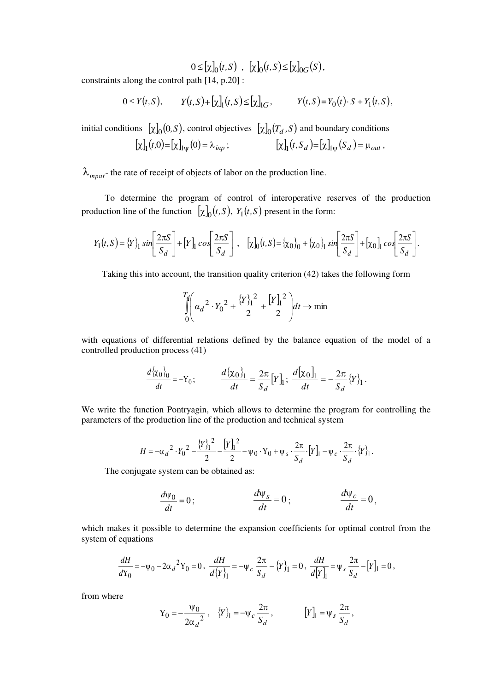$0 \leq [\chi]_0(t, S)$ ,  $[\chi]_0(t, S) \leq [\chi]_{0G}(S)$ ,

constraints along the control path [14, p.20] :

$$
0 \le Y(t,S), \qquad Y(t,S) + \left[\chi\right]_1(t,S) \le \left[\chi\right]_{IG}, \qquad Y(t,S) = Y_0(t) \cdot S + Y_1(t,S),
$$

initial conditions  $[\chi]_0(0, S)$ , control objectives  $[\chi]_0(T_d, S)$  and boundary conditions  $[\chi]_1(t,0) = [\chi]_{1\psi}(0) = \lambda_{inp}$ ;  $[\chi]_1(t, S_d)$  $(x, S_d) = [x]_{\psi}(S_d) = \mu_{out},$ 

 $\lambda_{input}$ - the rate of receipt of objects of labor on the production line.

To determine the program of control of interoperative reserves of the production production line of the function  $[\chi]_0(t, S)$ ,  $Y_1(t, S)$  present in the form:

$$
Y_1(t,S) = \{Y\}_1 \sin\left[\frac{2\pi S}{S_d}\right] + \left[Y\right]_1 \cos\left[\frac{2\pi S}{S_d}\right], \quad \left[\chi\right]_0(t,S) = \{\chi_0\}_0 + \{\chi_0\}_1 \sin\left[\frac{2\pi S}{S_d}\right] + \left[\chi_0\right]_1 \cos\left[\frac{2\pi S}{S_d}\right].
$$

Taking this into account, the transition quality criterion (42) takes the following form

$$
\int_{0}^{T_d} \left( \alpha_d^2 \cdot Y_0^2 + \frac{\{Y\}_1^2}{2} + \frac{\left[Y\right]_1^2}{2} \right) dt \to \min
$$

with equations of differential relations defined by the balance equation of the model of a controlled production process (41)

$$
\frac{d\{\chi_0\}_0}{dt} = -Y_0; \qquad \frac{d\{\chi_0\}_1}{dt} = \frac{2\pi}{S_d}[Y]_1; \ \frac{d[\chi_0]_1}{dt} = -\frac{2\pi}{S_d}\{Y\}_1.
$$

We write the function Pontryagin, which allows to determine the program for controlling the parameters of the production line of the production and technical system

$$
H = -\alpha_d^2 \cdot Y_0^2 - \frac{\{Y\}_1^2}{2} - \frac{\left[Y\right]_1^2}{2} - \psi_0 \cdot Y_0 + \psi_s \cdot \frac{2\pi}{S_d} \cdot \left[Y\right]_1 - \psi_c \cdot \frac{2\pi}{S_d} \cdot \{Y\}_1.
$$

The conjugate system can be obtained as:

$$
\frac{d\psi_0}{dt} = 0; \qquad \frac{d\psi_s}{dt} = 0; \qquad \frac{d\psi_c}{dt} = 0,
$$

which makes it possible to determine the expansion coefficients for optimal control from the system of equations

$$
\frac{dH}{dY_0} = -\psi_0 - 2\alpha_d^2 Y_0 = 0, \quad \frac{dH}{d{Y_1}} = -\psi_c \frac{2\pi}{S_d} - {Y_1_1 = 0, \quad \frac{dH}{d{Y_1}} = \psi_s \frac{2\pi}{S_d} - [Y_1] = 0,
$$

from where

$$
Y_0 = -\frac{\Psi_0}{2\alpha_d^2}, \quad \{Y\}_1 = -\Psi_c \frac{2\pi}{S_d}, \qquad [Y]_1 = \Psi_s \frac{2\pi}{S_d},
$$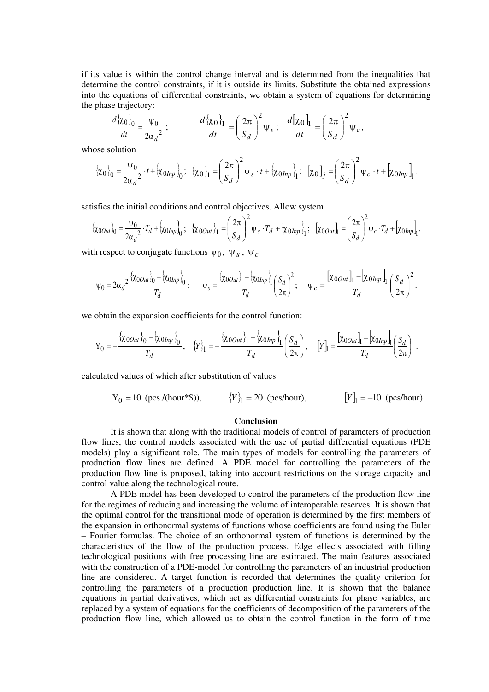if its value is within the control change interval and is determined from the inequalities that determine the control constraints, if it is outside its limits. Substitute the obtained expressions into the equations of differential constraints, we obtain a system of equations for determining the phase trajectory:

$$
\frac{d\{\chi_0\}_0}{dt} = \frac{\Psi_0}{2\alpha_d^2}; \qquad \frac{d\{\chi_0\}_1}{dt} = \left(\frac{2\pi}{S_d}\right)^2 \Psi_s; \quad \frac{d[\chi_0]_1}{dt} = \left(\frac{2\pi}{S_d}\right)^2 \Psi_c,
$$

whose solution

$$
\{\chi_0\}_0 = \frac{\Psi_0}{2\alpha_d^2} \cdot t + \{\chi_0_{Inp}\}_0; \quad \{\chi_0\}_1 = \left(\frac{2\pi}{S_d}\right)^2 \Psi_s \cdot t + \{\chi_0_{Inp}\}_1; \quad [\chi_0]_j = \left(\frac{2\pi}{S_d}\right)^2 \Psi_c \cdot t + \left[\chi_0_{Inp}\right]_1.
$$

satisfies the initial conditions and control objectives. Allow system

$$
\{\chi_{0Out}\}_0 = \frac{\Psi_0}{2\alpha_d^2} \cdot T_d + \{\chi_{0Inp}\}_0; \quad \{\chi_{0Out}\}_1 = \left(\frac{2\pi}{S_d}\right)^2 \Psi_s \cdot T_d + \{\chi_{0Inp}\}_1; \quad [\chi_{0Out}]_1 = \left(\frac{2\pi}{S_d}\right)^2 \Psi_c \cdot T_d + \left[\chi_{0Inp}\right]_1.
$$

with respect to conjugate functions  $\psi_0$ ,  $\Psi_s$ ,  $\Psi_c$ 

$$
\psi_0 = 2\alpha_d^2 \frac{\{\chi_{0Out}\}_0 - \{\chi_{0Inp}\}_0}{T_d}; \qquad \psi_s = \frac{\{\chi_{0Out}\}_1 - \{\chi_{0Inp}\}_1}{T_d} \left(\frac{S_d}{2\pi}\right)^2; \qquad \psi_c = \frac{\left[\chi_{0Out}\right]_1 - \left[\chi_{0Inp}\right]_1}{T_d} \left(\frac{S_d}{2\pi}\right)^2.
$$

we obtain the expansion coefficients for the control function:

$$
\mathbf{Y}_0=-\frac{\left\{\chi_{0Out}\right\}_0-\left\{\chi_{0Inp}\right\}_0}{T_d},\quad \left\{Y\right\}_1=-\frac{\left\{\chi_{0Out}\right\}_1-\left\{\chi_{0Inp}\right\}_1}{T_d}\left(\frac{S_d}{2\pi}\right),\quad \left[Y\right]_1=\frac{\left[\chi_{0Out}\right]-\left[\chi_{0Inp}\right]}{T_d}\left(\frac{S_d}{2\pi}\right)\ .
$$

calculated values of which after substitution of values

$$
Y_0 = 10
$$
 (pes/(hour)\*s)),  $\{Y\}_1 = 20$  (pes/hour),  $[Y]_1 = -10$  (pes/hour).

#### **Conclusion**

It is shown that along with the traditional models of control of parameters of production flow lines, the control models associated with the use of partial differential equations (PDE models) play a significant role. The main types of models for controlling the parameters of production flow lines are defined. A PDE model for controlling the parameters of the production flow line is proposed, taking into account restrictions on the storage capacity and control value along the technological route.

A PDE model has been developed to control the parameters of the production flow line for the regimes of reducing and increasing the volume of interoperable reserves. It is shown that the optimal control for the transitional mode of operation is determined by the first members of the expansion in orthonormal systems of functions whose coefficients are found using the Euler – Fourier formulas. The choice of an orthonormal system of functions is determined by the characteristics of the flow of the production process. Edge effects associated with filling technological positions with free processing line are estimated. The main features associated with the construction of a PDE-model for controlling the parameters of an industrial production line are considered. A target function is recorded that determines the quality criterion for controlling the parameters of a production production line. It is shown that the balance equations in partial derivatives, which act as differential constraints for phase variables, are replaced by a system of equations for the coefficients of decomposition of the parameters of the production flow line, which allowed us to obtain the control function in the form of time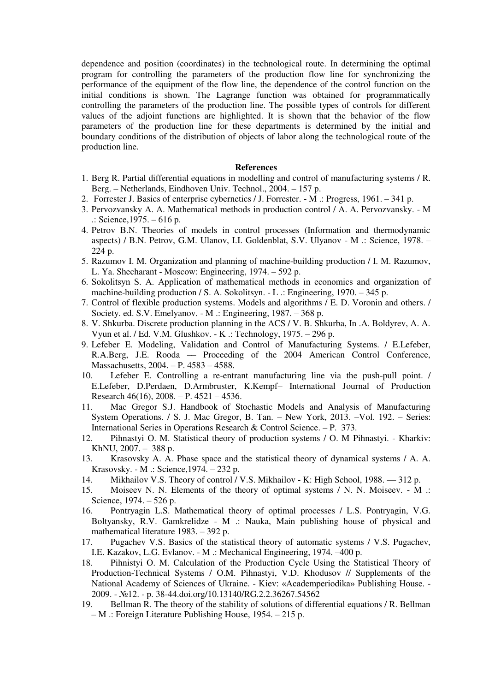dependence and position (coordinates) in the technological route. In determining the optimal program for controlling the parameters of the production flow line for synchronizing the performance of the equipment of the flow line, the dependence of the control function on the initial conditions is shown. The Lagrange function was obtained for programmatically controlling the parameters of the production line. The possible types of controls for different values of the adjoint functions are highlighted. It is shown that the behavior of the flow parameters of the production line for these departments is determined by the initial and boundary conditions of the distribution of objects of labor along the technological route of the production line.

#### **References**

- 1. Berg R. Partial differential equations in modelling and control of manufacturing systems / R. Berg. – Netherlands, Eindhoven Univ. Technol., 2004. – 157 p.
- 2. Forrester J. Basics of enterprise cybernetics / J. Forrester. M .: Progress, 1961. 341 p.
- 3. Pervozvansky A. A. Mathematical methods in production control / A. A. Pervozvansky. M .: Science,1975. – 616 p.
- 4. Petrov B.N. Theories of models in control processes (Information and thermodynamic aspects) / B.N. Petrov, G.M. Ulanov, I.I. Goldenblat, S.V. Ulyanov - M .: Science, 1978. – 224 p.
- 5. Razumov I. M. Organization and planning of machine-building production / I. M. Razumov, L. Ya. Shecharant - Moscow: Engineering, 1974. – 592 p.
- 6. Sokolitsyn S. А. Application of mathematical methods in economics and organization of machine-building production / S. A. Sokolitsyn. - L .: Engineering, 1970. – 345 p.
- 7. Control of flexible production systems. Models and algorithms / E. D. Voronin and others. / Society. ed. S.V. Emelyanov. - M .: Engineering, 1987. – 368 p.
- 8. V. Shkurba. Discrete production planning in the ACS / V. B. Shkurba, In .A. Boldyrev, A. A. Vyun et al. / Ed. V.M. Glushkov. - K .: Technology, 1975. – 296 p.
- 9. Lefeber E. Modeling, Validation and Control of Manufacturing Systems. / E.Lefeber, R.A.Berg, J.E. Rooda –– Proceeding of the 2004 American Control Conference, Massachusetts, 2004. – P. 4583 – 4588.
- 10. Lefeber E. Controlling a re-entrant manufacturing line via the push-pull point. / E.Lefeber, D.Perdaen, D.Armbruster, K.Kempf– International Journal of Production Research 46(16), 2008. – P. 4521 – 4536.
- 11. Mac Gregor S.J. Handbook of Stochastic Models and Analysis of Manufacturing System Operations. / S. J. Mac Gregor, B. Tan. – New York, 2013. –Vol. 192. – Series: International Series in Operations Research & Control Science. – P. 373.
- 12. Pihnastyi O. M. Statistical theory of production systems / O. M Pihnastyi. Kharkiv: KhNU, 2007. – 388 p.
- 13. Krasovsky A. A. Phase space and the statistical theory of dynamical systems / A. A. Krasovsky. - M .: Science,1974. – 232 p.
- 14. Mikhailov V.S. Theory of control / V.S. Mikhailov K: High School, 1988. 312 p.
- 15. Moiseev N. N. Elements of the theory of optimal systems / N. N. Moiseev. M .: Science, 1974. – 526 p.
- 16. Pontryagin L.S. Mathematical theory of optimal processes / L.S. Pontryagin, V.G. Boltyansky, R.V. Gamkrelidze - M .: Nauka, Main publishing house of physical and mathematical literature 1983. – 392 p.
- 17. Pugachev V.S. Basics of the statistical theory of automatic systems / V.S. Pugachev, I.E. Kazakov, L.G. Evlanov. - M .: Mechanical Engineering, 1974. –400 p.
- 18. [Pihnistyi O. M. Calculation of the Production Cycle Using the Statistical Theory of](http://dspace.nbuv.gov.ua/bitstream/handle/123456789/19137/06-Pignasty.pdf?sequence=1)  [Production-Technical Systems / O.M. Pihnastyi, V.D. Khodusov // Supplements of the](http://dspace.nbuv.gov.ua/bitstream/handle/123456789/19137/06-Pignasty.pdf?sequence=1)  National Academy of Sciences of Ukraine. - [Kiev: «Academperіodika» Publishing House.](http://dspace.nbuv.gov.ua/bitstream/handle/123456789/19137/06-Pignasty.pdf?sequence=1) - 2009. - №12. [- p. 38-44.](http://dspace.nbuv.gov.ua/bitstream/handle/123456789/19137/06-Pignasty.pdf?sequence=1)doi.org/10.13140/RG.2.2.36267.54562
- 19. Bellman R. The theory of the stability of solutions of differential equations / R. Bellman – M .: Foreign Literature Publishing House, 1954. – 215 p.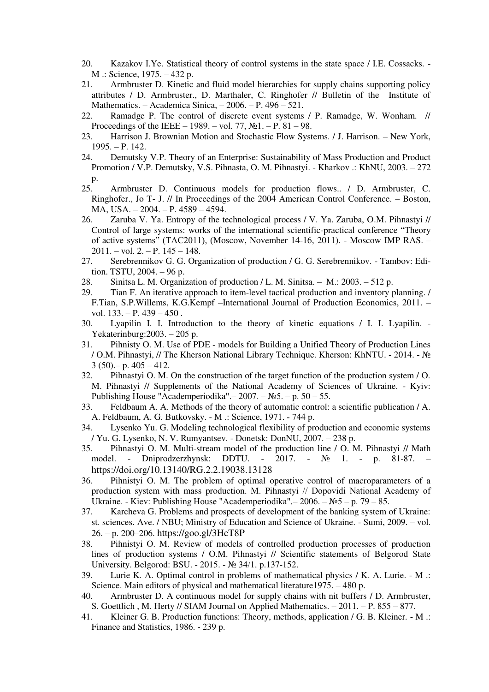- 20. Kazakov I.Ye. Statistical theory of control systems in the state space / I.E. Cossacks. M .: Science, 1975. – 432 p.
- 21. Armbruster D. Kinetic and fluid model hierarchies for supply chains supporting policy attributes / D. Armbruster., D. Marthaler, C. Ringhofer // Bulletin of the Institute of Mathematics. – Academica Sinica, – 2006. – P. 496 – 521.
- 22. Ramadge P. The control of discrete event systems / P. Ramadge, W. Wonham. // Proceedings of the IEEE – 1989. – vol. 77,  $\mathbb{N}$ <sup>1</sup>. – P. 81 – 98.
- 23. Harrison J. Brownian Motion and Stochastic Flow Systems. / J. Harrison. New York, 1995. – P. 142.
- 24. Demutsky V.P. Theory of an Enterprise: Sustainability of Mass Production and Product Promotion / V.P. Demutsky, V.S. Pihnasta, O. M. Pihnastyi. - Kharkov .: KhNU, 2003. – 272 p.
- 25. Armbruster D. Continuous models for production flows.. / D. Armbruster, C. Ringhofer., Jo T- J. // In Proceedings of the 2004 American Control Conference. – Boston, MA, USA. – 2004. – P. 4589 – 4594.
- 26. Zaruba V. Ya. Entropy of the technological process / V. Ya. Zaruba, O.M. Pihnastyi // Control of large systems: works of the international scientific-practical conference "Theory of active systems" (ТАС2011), (Moscow, November 14-16, 2011). - Moscow IMP RAS. –  $2011. - vol. 2. - P. 145 - 148.$
- 27. Serebrennikov G. G. Organization of production / G. G. Serebrennikov. Tambov: Edition. TSTU, 2004. – 96 p.
- 28. Sinitsa L. M. Organization of production / L. M. Sinitsa. М.: 2003. 512 p.
- 29. Tian F. An iterative approach to item-level tactical production and inventory planning. / F.Tian, S.P.Willems, K.G.Kempf –International Journal of Production Economics, 2011. – vol.  $133. - P. 439 - 450$ .
- 30. Lyapilin I. I. Introduction to the theory of kinetic equations / I. I. Lyapilin. Yekaterinburg:2003. – 205 p.
- 31. Pihnisty O. M. Use of PDE models for Building a Unified Theory of Production Lines / O.M. Pihnastyi, // The Kherson National Library Technique. Kherson: KhNTU. - 2014. - №  $3(50)$ . – p.  $405 - 412$ .
- 32. Pihnastyi O. M. On the construction of the target function of the production system / O. M. Pihnastyi // Supplements of the National Academy of Sciences of Ukraine. - Kyiv: Publishing House "Academperiodika".– 2007. – №5. – p. 50 – 55.
- 33. Feldbaum A. A. Methods of the theory of automatic control: a scientific publication / A. A. Feldbaum, A. G. Butkovsky. - M .: Science, 1971. 744 p.
- 34. Lysenko Yu. G. Modeling technological flexibility of production and economic systems / Yu. G. Lysenko, N. V. Rumyantsev. - Donetsk: DonNU, 2007. – 238 p.
- 35. Pihnastyi O. M. Multi-stream model of the production line / O. M. Pihnastyi // Math model. - Dniprodzerzhynsk: DDTU. - 2017. - № 1. - p. 81-87. – <https://doi.org/10.13140/RG.2.2.19038.13128>
- 36. Pihnistyi O. M. The problem of optimal operative control of macroparameters of a production system with mass production. M. Pihnastyi // Dopovіdі National Academy of Ukraine. - Kiev: Publishing House "Academperіodika".– 2006. – №5 – p. 79 – 85.
- 37. Karcheva G. Problems and prospects of development of the banking system of Ukraine: st. sciences. Ave. / NBU; Ministry of Education and Science of Ukraine. - Sumi, 2009. – vol. 26. – p. 200–206. <https://goo.gl/3HcT8P>
- 38. Pihnistyi O. M. Review of models of controlled production processes of production lines of production systems / O.M. Pihnastyi // Scientific statements of Belgorod State University. Belgorod: BSU. - 2015. - № 34/1. p.137-152.
- 39. Lurie K. A. Optimal control in problems of mathematical physics / K. A. Lurie. M .: Science. Main editors of physical and mathematical literature1975. – 480 p.
- 40. Armbruster D. A continuous model for supply chains with nit buffers / D. Armbruster, S. Goettlich , M. Herty // SIAM Journal on Applied Mathematics. – 2011. – P. 855 – 877.
- 41. Kleiner G. B. Production functions: Theory, methods, application / G. B. Kleiner. M .: Finance and Statistics, 1986. - 239 p.